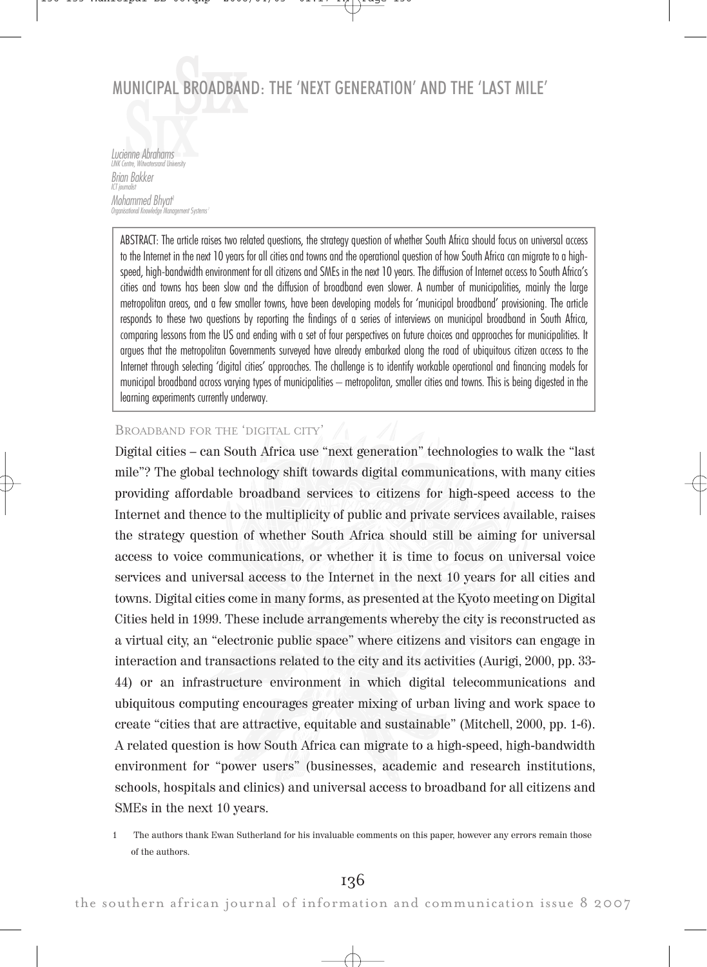#### MUNICIPAL LBROA AD DBAND: THE 'NEXT GENERATION' AND THE 'LAST MILE'

Lucienne Abrahams<br>Lucienne Mandergrad University LINK Centre, Witwate Brian Bakker ICT journalist Mohammed Bhyat 1 . .<br>annoement Systems

ABSTRACT: The article raises two related questions, the strategy question of whether South Africa should focus on universal access to the Internet in the next 10 years for all cities and towns and the operational question of how South Africa can migrate to a highspeed, high-bandwidth environment for all citizens and SMEs in the next 10 years. The diffusion of Internet access to South Africa's cities and towns has been slow and the diffusion of broadband even slower. A number of municipalities, mainly the large metropolitan areas, and a few smaller towns, have been developing models for 'municipal broadband' provisioning. The article responds to these two questions by reporting the findings of a series of interviews on municipal broadband in South Africa, comparing lessons from the US and ending with a set of four perspectives on future choices and approaches for municipalities. It argues that the metropolitan Governments surveyed have already embarked along the road of ubiquitous citizen access to the Internet through selecting 'digital cities' approaches. The challenge is to identify workable operational and financing models for municipal broadband across varying types of municipalities – metropolitan, smaller cities and towns. This is being digested in the learning experiments currently underway.

### BROADBAND FOR THE 'DIGITAL CITY'

Digital cities – can South Africa use "next generation" technologies to walk the "last mile"? The global technology shift towards digital communications, with many cities providing affordable broadband services to citizens for high-speed access to the Internet and thence to the multiplicity of public and private services available, raises the strategy question of whether South Africa should still be aiming for universal access to voice communications, or whether it is time to focus on universal voice services and universal access to the Internet in the next 10 years for all cities and towns. Digital cities come in many forms, as presented at the Kyoto meeting on Digital Cities held in 1999. These include arrangements whereby the city is reconstructed as a virtual city, an "electronic public space" where citizens and visitors can engage in interaction and transactions related to the city and its activities (Aurigi, 2000, pp. 33- 44) or an infrastructure environment in which digital telecommunications and ubiquitous computing encourages greater mixing of urban living and work space to create "cities that are attractive, equitable and sustainable" (Mitchell, 2000, pp. 1-6). A related question is how South Africa can migrate to a high-speed, high-bandwidth environment for "power users" (businesses, academic and research institutions, schools, hospitals and clinics) and universal access to broadband for all citizens and SMEs in the next 10 years.

<sup>1</sup> The authors thank Ewan Sutherland for his invaluable comments on this paper, however any errors remain those of the authors.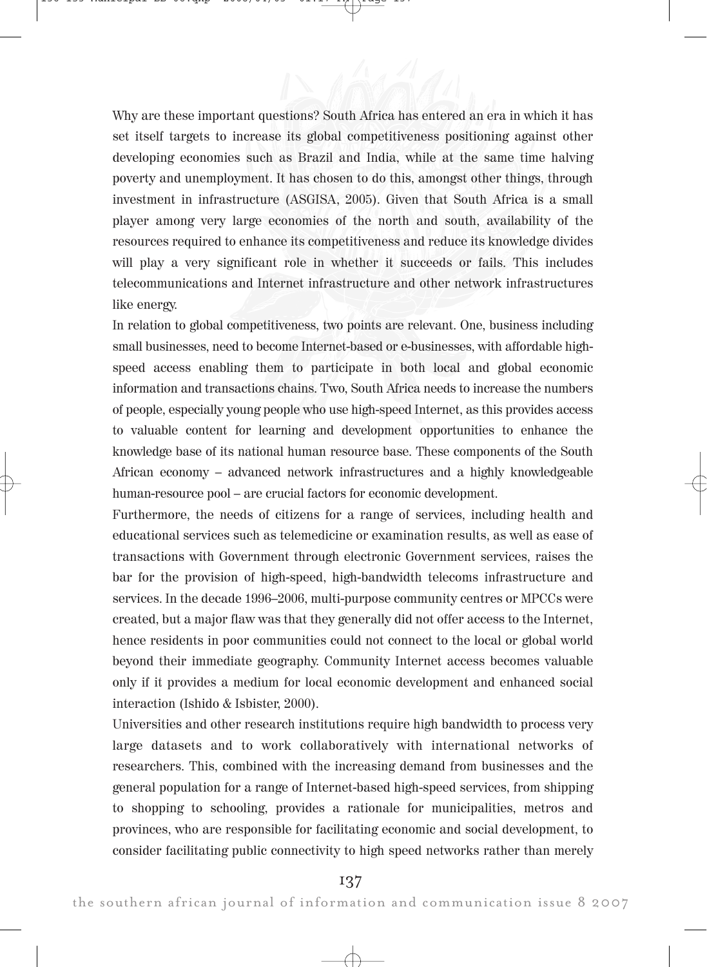Why are these important questions? South Africa has entered an era in which it has set itself targets to increase its global competitiveness positioning against other developing economies such as Brazil and India, while at the same time halving poverty and unemployment. It has chosen to do this, amongst other things, through investment in infrastructure (ASGISA, 2005). Given that South Africa is a small player among very large economies of the north and south, availability of the resources required to enhance its competitiveness and reduce its knowledge divides will play a very significant role in whether it succeeds or fails. This includes telecommunications and Internet infrastructure and other network infrastructures like energy.

In relation to global competitiveness, two points are relevant. One, business including small businesses, need to become Internet-based or e-businesses, with affordable highspeed access enabling them to participate in both local and global economic information and transactions chains. Two, South Africa needs to increase the numbers of people, especially young people who use high-speed Internet, as this provides access to valuable content for learning and development opportunities to enhance the knowledge base of its national human resource base. These components of the South African economy – advanced network infrastructures and a highly knowledgeable human-resource pool – are crucial factors for economic development.

Furthermore, the needs of citizens for a range of services, including health and educational services such as telemedicine or examination results, as well as ease of transactions with Government through electronic Government services, raises the bar for the provision of high-speed, high-bandwidth telecoms infrastructure and services. In the decade 1996–2006, multi-purpose community centres or MPCCs were created, but a major flaw was that they generally did not offer access to the Internet, hence residents in poor communities could not connect to the local or global world beyond their immediate geography. Community Internet access becomes valuable only if it provides a medium for local economic development and enhanced social interaction (Ishido & Isbister, 2000).

Universities and other research institutions require high bandwidth to process very large datasets and to work collaboratively with international networks of researchers. This, combined with the increasing demand from businesses and the general population for a range of Internet-based high-speed services, from shipping to shopping to schooling, provides a rationale for municipalities, metros and provinces, who are responsible for facilitating economic and social development, to consider facilitating public connectivity to high speed networks rather than merely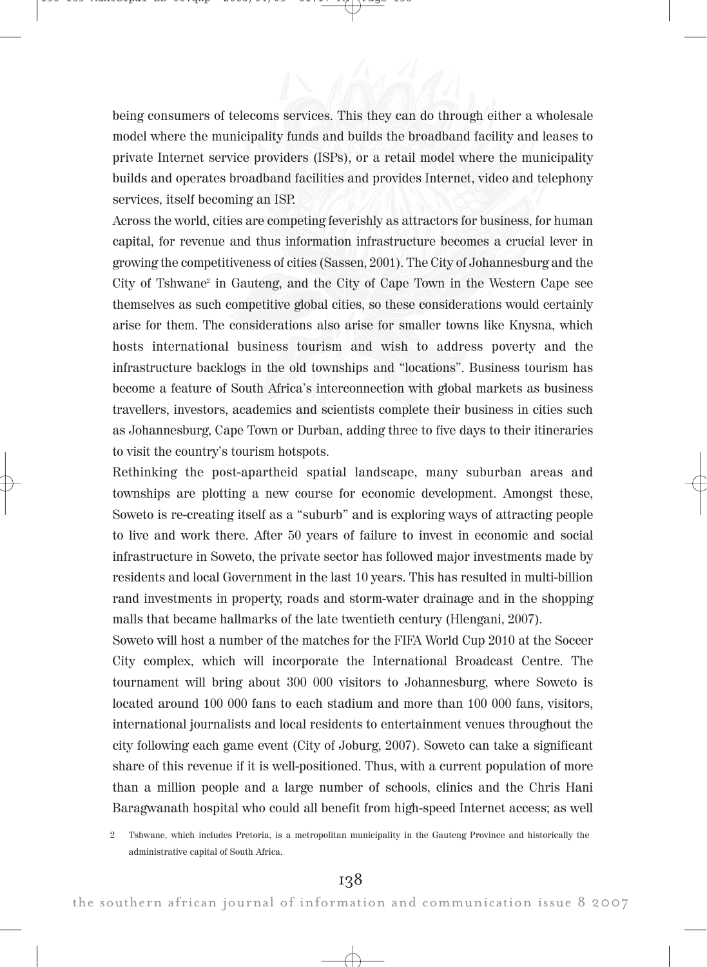being consumers of telecoms services. This they can do through either a wholesale model where the municipality funds and builds the broadband facility and leases to private Internet service providers (ISPs), or a retail model where the municipality builds and operates broadband facilities and provides Internet, video and telephony services, itself becoming an ISP.

Across the world, cities are competing feverishly as attractors for business, for human capital, for revenue and thus information infrastructure becomes a crucial lever in growing the competitiveness of cities (Sassen, 2001). The City of Johannesburg and the City of Tshwane<sup>2</sup> in Gauteng, and the City of Cape Town in the Western Cape see themselves as such competitive global cities, so these considerations would certainly arise for them. The considerations also arise for smaller towns like Knysna, which hosts international business tourism and wish to address poverty and the infrastructure backlogs in the old townships and "locations". Business tourism has become a feature of South Africa's interconnection with global markets as business travellers, investors, academics and scientists complete their business in cities such as Johannesburg, Cape Town or Durban, adding three to five days to their itineraries to visit the country's tourism hotspots.

Rethinking the post-apartheid spatial landscape, many suburban areas and townships are plotting a new course for economic development. Amongst these, Soweto is re-creating itself as a "suburb" and is exploring ways of attracting people to live and work there. After 50 years of failure to invest in economic and social infrastructure in Soweto, the private sector has followed major investments made by residents and local Government in the last 10 years. This has resulted in multi-billion rand investments in property, roads and storm-water drainage and in the shopping malls that became hallmarks of the late twentieth century (Hlengani, 2007).

Soweto will host a number of the matches for the FIFA World Cup 2010 at the Soccer City complex, which will incorporate the International Broadcast Centre. The tournament will bring about 300 000 visitors to Johannesburg, where Soweto is located around 100 000 fans to each stadium and more than 100 000 fans, visitors, international journalists and local residents to entertainment venues throughout the city following each game event (City of Joburg, 2007). Soweto can take a significant share of this revenue if it is well-positioned. Thus, with a current population of more than a million people and a large number of schools, clinics and the Chris Hani Baragwanath hospital who could all benefit from high-speed Internet access; as well

2 Tshwane, which includes Pretoria, is a metropolitan municipality in the Gauteng Province and historically the administrative capital of South Africa.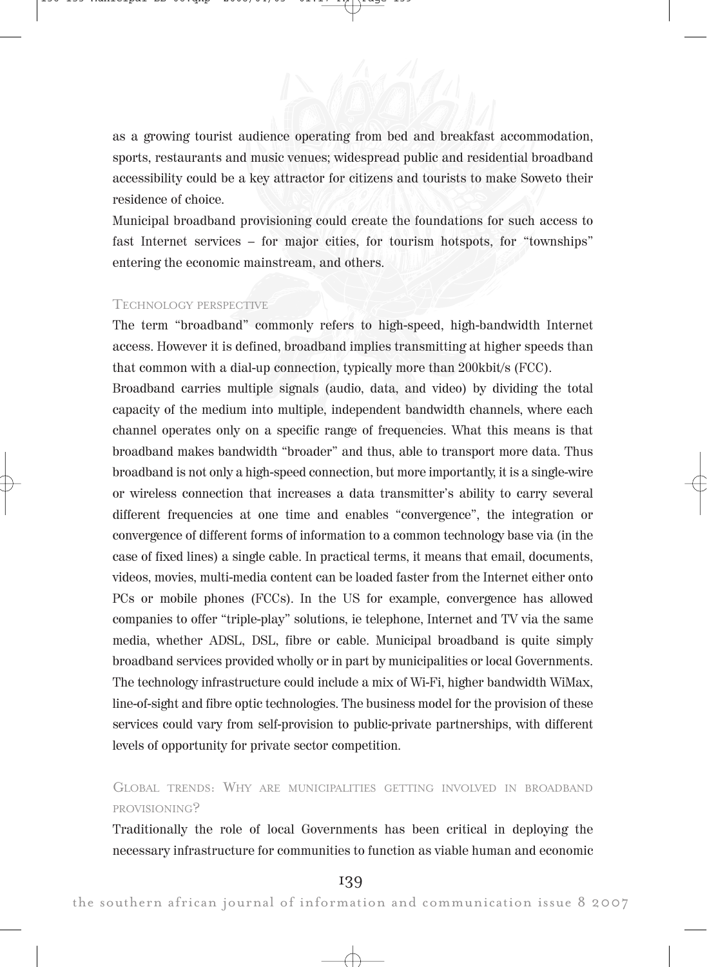as a growing tourist audience operating from bed and breakfast accommodation, sports, restaurants and music venues; widespread public and residential broadband accessibility could be a key attractor for citizens and tourists to make Soweto their residence of choice.

Municipal broadband provisioning could create the foundations for such access to fast Internet services – for major cities, for tourism hotspots, for "townships" entering the economic mainstream, and others.

#### TECHNOLOGY PERSPECTIVE

The term "broadband" commonly refers to high-speed, high-bandwidth Internet access. However it is defined, broadband implies transmitting at higher speeds than that common with a dial-up connection, typically more than 200kbit/s (FCC).

Broadband carries multiple signals (audio, data, and video) by dividing the total capacity of the medium into multiple, independent bandwidth channels, where each channel operates only on a specific range of frequencies. What this means is that broadband makes bandwidth "broader" and thus, able to transport more data. Thus broadband is not only a high-speed connection, but more importantly, it is a single-wire or wireless connection that increases a data transmitter's ability to carry several different frequencies at one time and enables "convergence", the integration or convergence of different forms of information to a common technology base via (in the case of fixed lines) a single cable. In practical terms, it means that email, documents, videos, movies, multi-media content can be loaded faster from the Internet either onto PCs or mobile phones (FCCs). In the US for example, convergence has allowed companies to offer "triple-play" solutions, ie telephone, Internet and TV via the same media, whether ADSL, DSL, fibre or cable. Municipal broadband is quite simply broadband services provided wholly or in part by municipalities or local Governments. The technology infrastructure could include a mix of Wi-Fi, higher bandwidth WiMax, line-of-sight and fibre optic technologies. The business model for the provision of these services could vary from self-provision to public-private partnerships, with different levels of opportunity for private sector competition.

## GLOBAL TRENDS: WHY ARE MUNICIPALITIES GETTING INVOLVED IN BROADBAND PROVISIONING?

Traditionally the role of local Governments has been critical in deploying the necessary infrastructure for communities to function as viable human and economic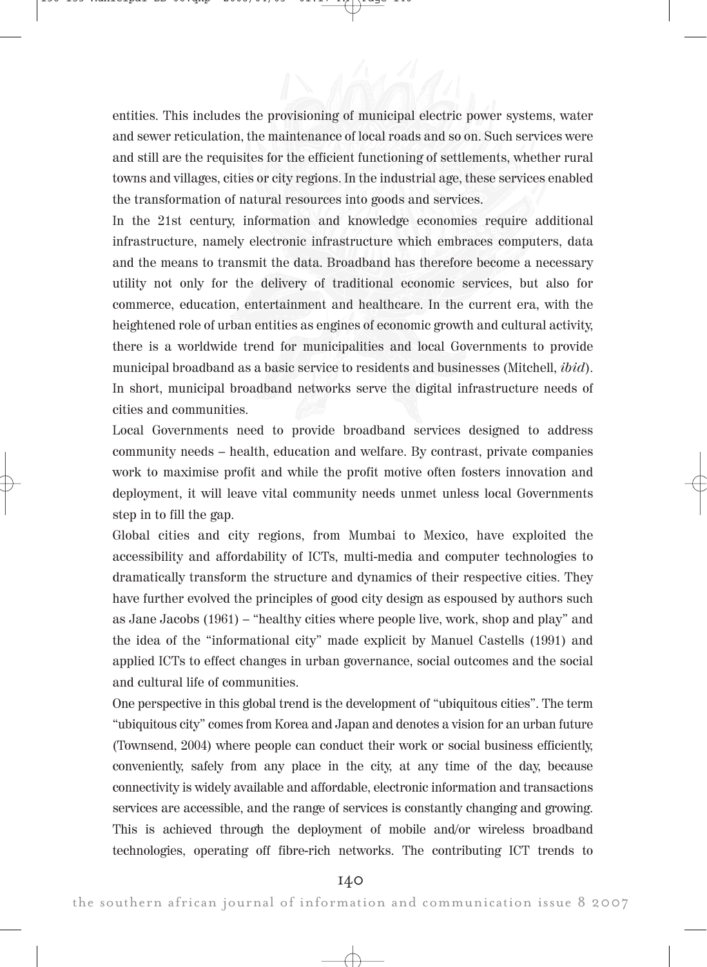entities. This includes the provisioning of municipal electric power systems, water and sewer reticulation, the maintenance of local roads and so on. Such services were and still are the requisites for the efficient functioning of settlements, whether rural towns and villages, cities or city regions. In the industrial age, these services enabled the transformation of natural resources into goods and services.

In the 21st century, information and knowledge economies require additional infrastructure, namely electronic infrastructure which embraces computers, data and the means to transmit the data. Broadband has therefore become a necessary utility not only for the delivery of traditional economic services, but also for commerce, education, entertainment and healthcare. In the current era, with the heightened role of urban entities as engines of economic growth and cultural activity, there is a worldwide trend for municipalities and local Governments to provide municipal broadband as a basic service to residents and businesses (Mitchell, ibid). In short, municipal broadband networks serve the digital infrastructure needs of cities and communities.

Local Governments need to provide broadband services designed to address community needs – health, education and welfare. By contrast, private companies work to maximise profit and while the profit motive often fosters innovation and deployment, it will leave vital community needs unmet unless local Governments step in to fill the gap.

Global cities and city regions, from Mumbai to Mexico, have exploited the accessibility and affordability of ICTs, multi-media and computer technologies to dramatically transform the structure and dynamics of their respective cities. They have further evolved the principles of good city design as espoused by authors such as Jane Jacobs (1961) – "healthy cities where people live, work, shop and play" and the idea of the "informational city" made explicit by Manuel Castells (1991) and applied ICTs to effect changes in urban governance, social outcomes and the social and cultural life of communities.

One perspective in this global trend is the development of "ubiquitous cities". The term "ubiquitous city" comes from Korea and Japan and denotes a vision for an urban future (Townsend, 2004) where people can conduct their work or social business efficiently, conveniently, safely from any place in the city, at any time of the day, because connectivity is widely available and affordable, electronic information and transactions services are accessible, and the range of services is constantly changing and growing. This is achieved through the deployment of mobile and/or wireless broadband technologies, operating off fibre-rich networks. The contributing ICT trends to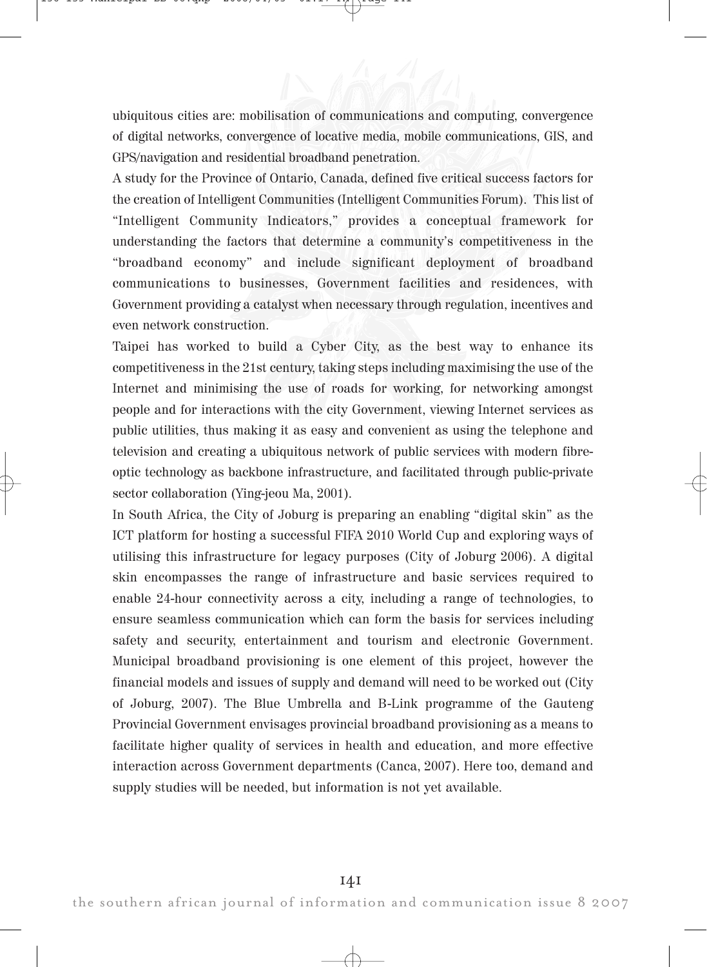ubiquitous cities are: mobilisation of communications and computing, convergence of digital networks, convergence of locative media, mobile communications, GIS, and GPS/navigation and residential broadband penetration.

A study for the Province of Ontario, Canada, defined five critical success factors for the creation of Intelligent Communities (Intelligent Communities Forum). This list of "Intelligent Community Indicators," provides a conceptual framework for understanding the factors that determine a community's competitiveness in the "broadband economy" and include significant deployment of broadband communications to businesses, Government facilities and residences, with Government providing a catalyst when necessary through regulation, incentives and even network construction.

Taipei has worked to build a Cyber City, as the best way to enhance its competitiveness in the 21st century, taking steps including maximising the use of the Internet and minimising the use of roads for working, for networking amongst people and for interactions with the city Government, viewing Internet services as public utilities, thus making it as easy and convenient as using the telephone and television and creating a ubiquitous network of public services with modern fibreoptic technology as backbone infrastructure, and facilitated through public-private sector collaboration (Ying-jeou Ma, 2001).

In South Africa, the City of Joburg is preparing an enabling "digital skin" as the ICT platform for hosting a successful FIFA 2010 World Cup and exploring ways of utilising this infrastructure for legacy purposes (City of Joburg 2006). A digital skin encompasses the range of infrastructure and basic services required to enable 24-hour connectivity across a city, including a range of technologies, to ensure seamless communication which can form the basis for services including safety and security, entertainment and tourism and electronic Government. Municipal broadband provisioning is one element of this project, however the financial models and issues of supply and demand will need to be worked out (City of Joburg, 2007). The Blue Umbrella and B-Link programme of the Gauteng Provincial Government envisages provincial broadband provisioning as a means to facilitate higher quality of services in health and education, and more effective interaction across Government departments (Canca, 2007). Here too, demand and supply studies will be needed, but information is not yet available.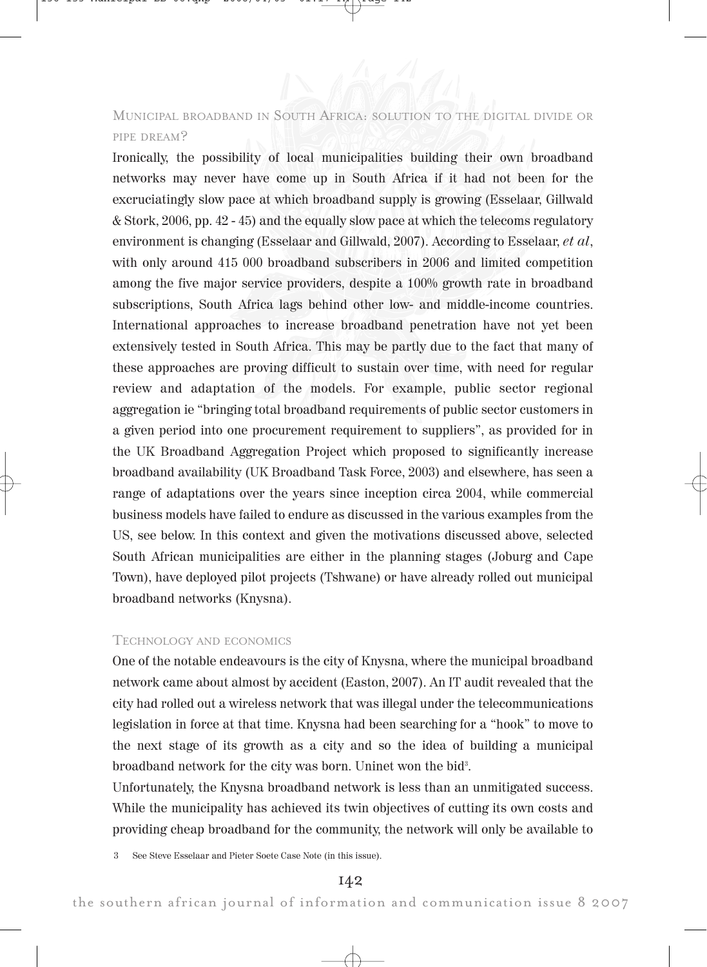# MUNICIPAL BROADBAND IN SOUTH AFRICA: SOLUTION TO THE DIGITAL DIVIDE OR PIPE DREAM?

Ironically, the possibility of local municipalities building their own broadband networks may never have come up in South Africa if it had not been for the excruciatingly slow pace at which broadband supply is growing (Esselaar, Gillwald & Stork, 2006, pp. 42 - 45) and the equally slow pace at which the telecoms regulatory environment is changing (Esselaar and Gillwald, 2007). According to Esselaar, et al, with only around 415 000 broadband subscribers in 2006 and limited competition among the five major service providers, despite a 100% growth rate in broadband subscriptions, South Africa lags behind other low- and middle-income countries. International approaches to increase broadband penetration have not yet been extensively tested in South Africa. This may be partly due to the fact that many of these approaches are proving difficult to sustain over time, with need for regular review and adaptation of the models. For example, public sector regional aggregation ie "bringing total broadband requirements of public sector customers in a given period into one procurement requirement to suppliers", as provided for in the UK Broadband Aggregation Project which proposed to significantly increase broadband availability (UK Broadband Task Force, 2003) and elsewhere, has seen a range of adaptations over the years since inception circa 2004, while commercial business models have failed to endure as discussed in the various examples from the US, see below. In this context and given the motivations discussed above, selected South African municipalities are either in the planning stages (Joburg and Cape Town), have deployed pilot projects (Tshwane) or have already rolled out municipal broadband networks (Knysna).

### TECHNOLOGY AND ECONOMICS

One of the notable endeavours is the city of Knysna, where the municipal broadband network came about almost by accident (Easton, 2007). An IT audit revealed that the city had rolled out a wireless network that was illegal under the telecommunications legislation in force at that time. Knysna had been searching for a "hook" to move to the next stage of its growth as a city and so the idea of building a municipal broadband network for the city was born. Uninet won the bid<sup>3</sup>.

Unfortunately, the Knysna broadband network is less than an unmitigated success. While the municipality has achieved its twin objectives of cutting its own costs and providing cheap broadband for the community, the network will only be available to

3 See Steve Esselaar and Pieter Soete Case Note (in this issue).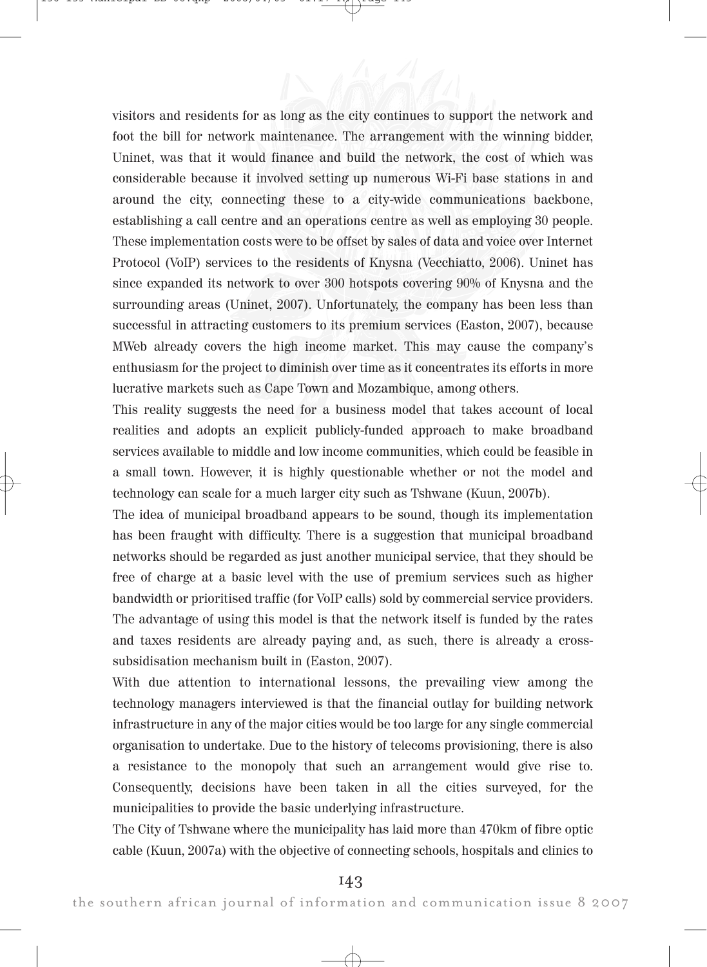visitors and residents for as long as the city continues to support the network and foot the bill for network maintenance. The arrangement with the winning bidder, Uninet, was that it would finance and build the network, the cost of which was considerable because it involved setting up numerous Wi-Fi base stations in and around the city, connecting these to a city-wide communications backbone, establishing a call centre and an operations centre as well as employing 30 people. These implementation costs were to be offset by sales of data and voice over Internet Protocol (VoIP) services to the residents of Knysna (Vecchiatto, 2006). Uninet has since expanded its network to over 300 hotspots covering 90% of Knysna and the surrounding areas (Uninet, 2007). Unfortunately, the company has been less than successful in attracting customers to its premium services (Easton, 2007), because MWeb already covers the high income market. This may cause the company's enthusiasm for the project to diminish over time as it concentrates its efforts in more lucrative markets such as Cape Town and Mozambique, among others.

This reality suggests the need for a business model that takes account of local realities and adopts an explicit publicly-funded approach to make broadband services available to middle and low income communities, which could be feasible in a small town. However, it is highly questionable whether or not the model and technology can scale for a much larger city such as Tshwane (Kuun, 2007b).

The idea of municipal broadband appears to be sound, though its implementation has been fraught with difficulty. There is a suggestion that municipal broadband networks should be regarded as just another municipal service, that they should be free of charge at a basic level with the use of premium services such as higher bandwidth or prioritised traffic (for VoIP calls) sold by commercial service providers. The advantage of using this model is that the network itself is funded by the rates and taxes residents are already paying and, as such, there is already a crosssubsidisation mechanism built in (Easton, 2007).

With due attention to international lessons, the prevailing view among the technology managers interviewed is that the financial outlay for building network infrastructure in any of the major cities would be too large for any single commercial organisation to undertake. Due to the history of telecoms provisioning, there is also a resistance to the monopoly that such an arrangement would give rise to. Consequently, decisions have been taken in all the cities surveyed, for the municipalities to provide the basic underlying infrastructure.

The City of Tshwane where the municipality has laid more than 470km of fibre optic cable (Kuun, 2007a) with the objective of connecting schools, hospitals and clinics to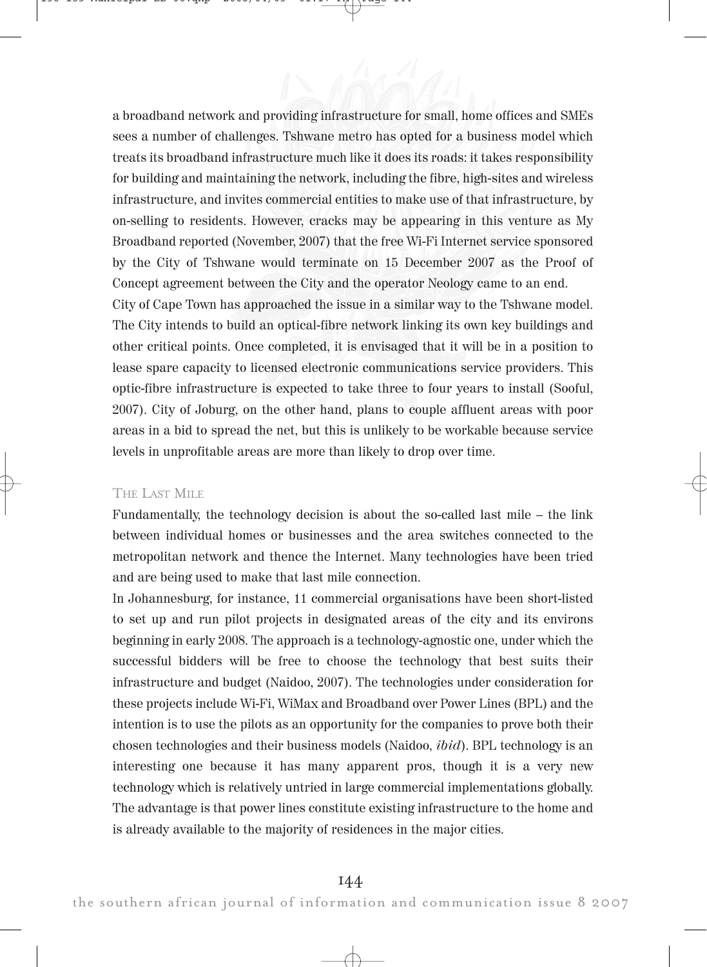a broadband network and providing infrastructure for small, home offices and SMEs sees a number of challenges. Tshwane metro has opted for a business model which treats its broadband infrastructure much like it does its roads: it takes responsibility for building and maintaining the network, including the fibre, high-sites and wireless infrastructure, and invites commercial entities to make use of that infrastructure, by on-selling to residents. However, cracks may be appearing in this venture as My Broadband reported (November, 2007) that the free Wi-Fi Internet service sponsored by the City of Tshwane would terminate on 15 December 2007 as the Proof of Concept agreement between the City and the operator Neology came to an end.

City of Cape Town has approached the issue in a similar way to the Tshwane model. The City intends to build an optical-fibre network linking its own key buildings and other critical points. Once completed, it is envisaged that it will be in a position to lease spare capacity to licensed electronic communications service providers. This optic-fibre infrastructure is expected to take three to four years to install (Sooful, 2007). City of Joburg, on the other hand, plans to couple affluent areas with poor areas in a bid to spread the net, but this is unlikely to be workable because service levels in unprofitable areas are more than likely to drop over time.

#### THE LAST MILE

Fundamentally, the technology decision is about the so-called last mile – the link between individual homes or businesses and the area switches connected to the metropolitan network and thence the Internet. Many technologies have been tried and are being used to make that last mile connection.

In Johannesburg, for instance, 11 commercial organisations have been short-listed to set up and run pilot projects in designated areas of the city and its environs beginning in early 2008. The approach is a technology-agnostic one, under which the successful bidders will be free to choose the technology that best suits their infrastructure and budget (Naidoo, 2007). The technologies under consideration for these projects include Wi-Fi, WiMax and Broadband over Power Lines (BPL) and the intention is to use the pilots as an opportunity for the companies to prove both their chosen technologies and their business models (Naidoo, ibid). BPL technology is an interesting one because it has many apparent pros, though it is a very new technology which is relatively untried in large commercial implementations globally. The advantage is that power lines constitute existing infrastructure to the home and is already available to the majority of residences in the major cities.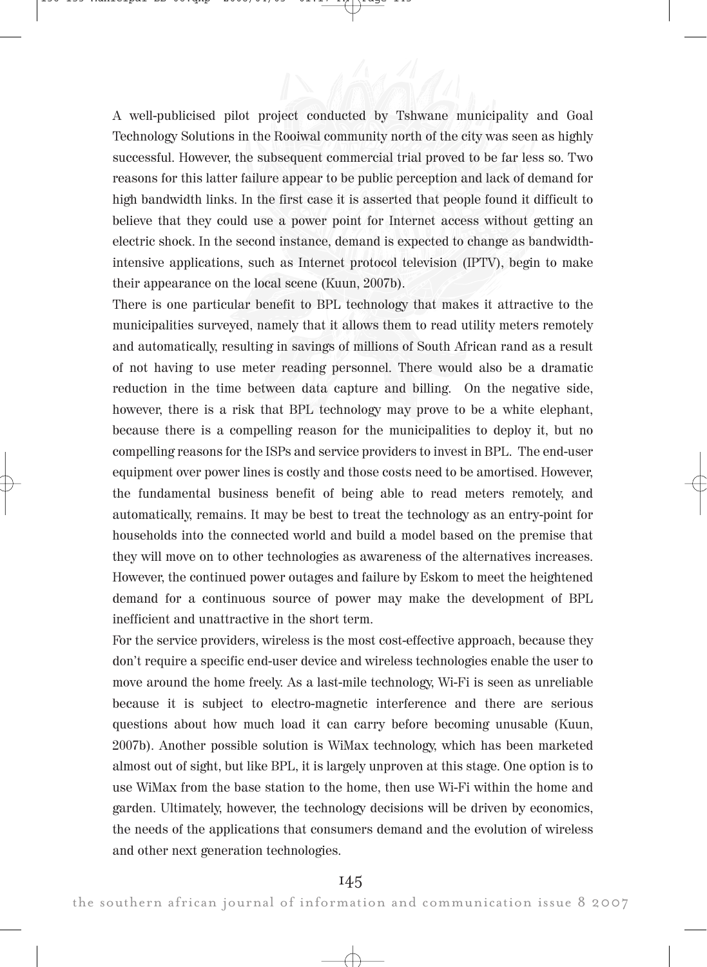A well-publicised pilot project conducted by Tshwane municipality and Goal Technology Solutions in the Rooiwal community north of the city was seen as highly successful. However, the subsequent commercial trial proved to be far less so. Two reasons for this latter failure appear to be public perception and lack of demand for high bandwidth links. In the first case it is asserted that people found it difficult to believe that they could use a power point for Internet access without getting an electric shock. In the second instance, demand is expected to change as bandwidthintensive applications, such as Internet protocol television (IPTV), begin to make their appearance on the local scene (Kuun, 2007b).

There is one particular benefit to BPL technology that makes it attractive to the municipalities surveyed, namely that it allows them to read utility meters remotely and automatically, resulting in savings of millions of South African rand as a result of not having to use meter reading personnel. There would also be a dramatic reduction in the time between data capture and billing. On the negative side, however, there is a risk that BPL technology may prove to be a white elephant, because there is a compelling reason for the municipalities to deploy it, but no compelling reasons for the ISPs and service providers to invest in BPL. The end-user equipment over power lines is costly and those costs need to be amortised. However, the fundamental business benefit of being able to read meters remotely, and automatically, remains. It may be best to treat the technology as an entry-point for households into the connected world and build a model based on the premise that they will move on to other technologies as awareness of the alternatives increases. However, the continued power outages and failure by Eskom to meet the heightened demand for a continuous source of power may make the development of BPL inefficient and unattractive in the short term.

For the service providers, wireless is the most cost-effective approach, because they don't require a specific end-user device and wireless technologies enable the user to move around the home freely. As a last-mile technology, Wi-Fi is seen as unreliable because it is subject to electro-magnetic interference and there are serious questions about how much load it can carry before becoming unusable (Kuun, 2007b). Another possible solution is WiMax technology, which has been marketed almost out of sight, but like BPL, it is largely unproven at this stage. One option is to use WiMax from the base station to the home, then use Wi-Fi within the home and garden. Ultimately, however, the technology decisions will be driven by economics, the needs of the applications that consumers demand and the evolution of wireless and other next generation technologies.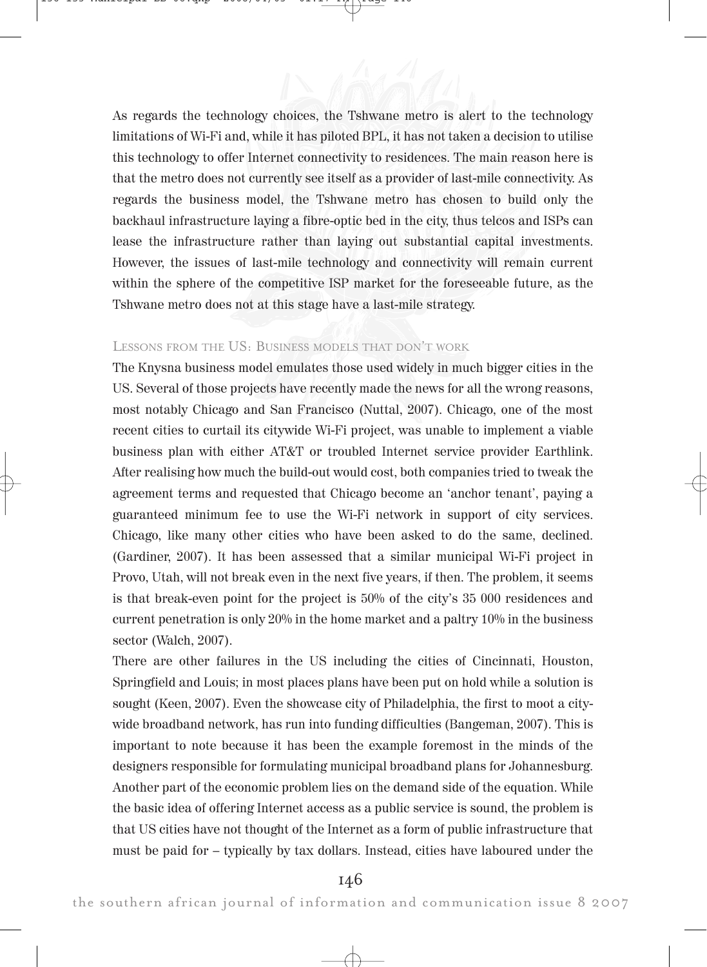As regards the technology choices, the Tshwane metro is alert to the technology limitations of Wi-Fi and, while it has piloted BPL, it has not taken a decision to utilise this technology to offer Internet connectivity to residences. The main reason here is that the metro does not currently see itself as a provider of last-mile connectivity. As regards the business model, the Tshwane metro has chosen to build only the backhaul infrastructure laying a fibre-optic bed in the city, thus telcos and ISPs can lease the infrastructure rather than laying out substantial capital investments. However, the issues of last-mile technology and connectivity will remain current within the sphere of the competitive ISP market for the foreseeable future, as the Tshwane metro does not at this stage have a last-mile strategy.

#### LESSONS FROM THE US: BUSINESS MODELS THAT DON'T WORK

The Knysna business model emulates those used widely in much bigger cities in the US. Several of those projects have recently made the news for all the wrong reasons, most notably Chicago and San Francisco (Nuttal, 2007). Chicago, one of the most recent cities to curtail its citywide Wi-Fi project, was unable to implement a viable business plan with either AT&T or troubled Internet service provider Earthlink. After realising how much the build-out would cost, both companies tried to tweak the agreement terms and requested that Chicago become an 'anchor tenant', paying a guaranteed minimum fee to use the Wi-Fi network in support of city services. Chicago, like many other cities who have been asked to do the same, declined. (Gardiner, 2007). It has been assessed that a similar municipal Wi-Fi project in Provo, Utah, will not break even in the next five years, if then. The problem, it seems is that break-even point for the project is 50% of the city's 35 000 residences and current penetration is only 20% in the home market and a paltry 10% in the business sector (Walch, 2007).

There are other failures in the US including the cities of Cincinnati, Houston, Springfield and Louis; in most places plans have been put on hold while a solution is sought (Keen, 2007). Even the showcase city of Philadelphia, the first to moot a citywide broadband network, has run into funding difficulties (Bangeman, 2007). This is important to note because it has been the example foremost in the minds of the designers responsible for formulating municipal broadband plans for Johannesburg. Another part of the economic problem lies on the demand side of the equation. While the basic idea of offering Internet access as a public service is sound, the problem is that US cities have not thought of the Internet as a form of public infrastructure that must be paid for – typically by tax dollars. Instead, cities have laboured under the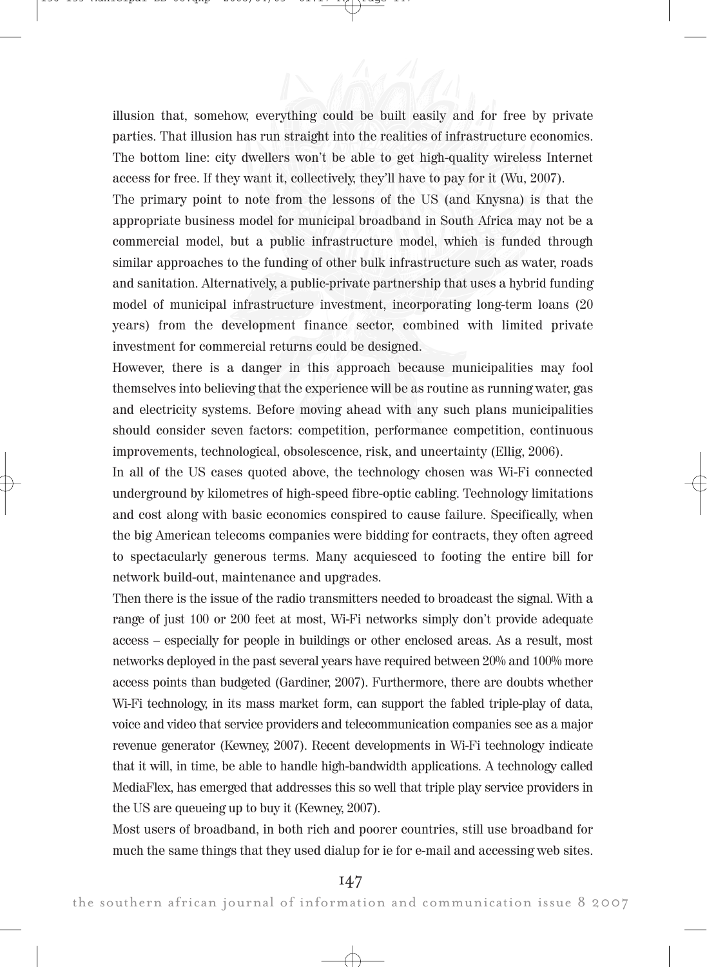illusion that, somehow, everything could be built easily and for free by private parties. That illusion has run straight into the realities of infrastructure economics. The bottom line: city dwellers won't be able to get high-quality wireless Internet access for free. If they want it, collectively, they'll have to pay for it (Wu, 2007).

The primary point to note from the lessons of the US (and Knysna) is that the appropriate business model for municipal broadband in South Africa may not be a commercial model, but a public infrastructure model, which is funded through similar approaches to the funding of other bulk infrastructure such as water, roads and sanitation. Alternatively, a public-private partnership that uses a hybrid funding model of municipal infrastructure investment, incorporating long-term loans (20 years) from the development finance sector, combined with limited private investment for commercial returns could be designed.

However, there is a danger in this approach because municipalities may fool themselves into believing that the experience will be as routine as running water, gas and electricity systems. Before moving ahead with any such plans municipalities should consider seven factors: competition, performance competition, continuous improvements, technological, obsolescence, risk, and uncertainty (Ellig, 2006).

In all of the US cases quoted above, the technology chosen was Wi-Fi connected underground by kilometres of high-speed fibre-optic cabling. Technology limitations and cost along with basic economics conspired to cause failure. Specifically, when the big American telecoms companies were bidding for contracts, they often agreed to spectacularly generous terms. Many acquiesced to footing the entire bill for network build-out, maintenance and upgrades.

Then there is the issue of the radio transmitters needed to broadcast the signal. With a range of just 100 or 200 feet at most, Wi-Fi networks simply don't provide adequate access – especially for people in buildings or other enclosed areas. As a result, most networks deployed in the past several years have required between 20% and 100% more access points than budgeted (Gardiner, 2007). Furthermore, there are doubts whether Wi-Fi technology, in its mass market form, can support the fabled triple-play of data, voice and video that service providers and telecommunication companies see as a major revenue generator (Kewney, 2007). Recent developments in Wi-Fi technology indicate that it will, in time, be able to handle high-bandwidth applications. A technology called MediaFlex, has emerged that addresses this so well that triple play service providers in the US are queueing up to buy it (Kewney, 2007).

Most users of broadband, in both rich and poorer countries, still use broadband for much the same things that they used dialup for ie for e-mail and accessing web sites.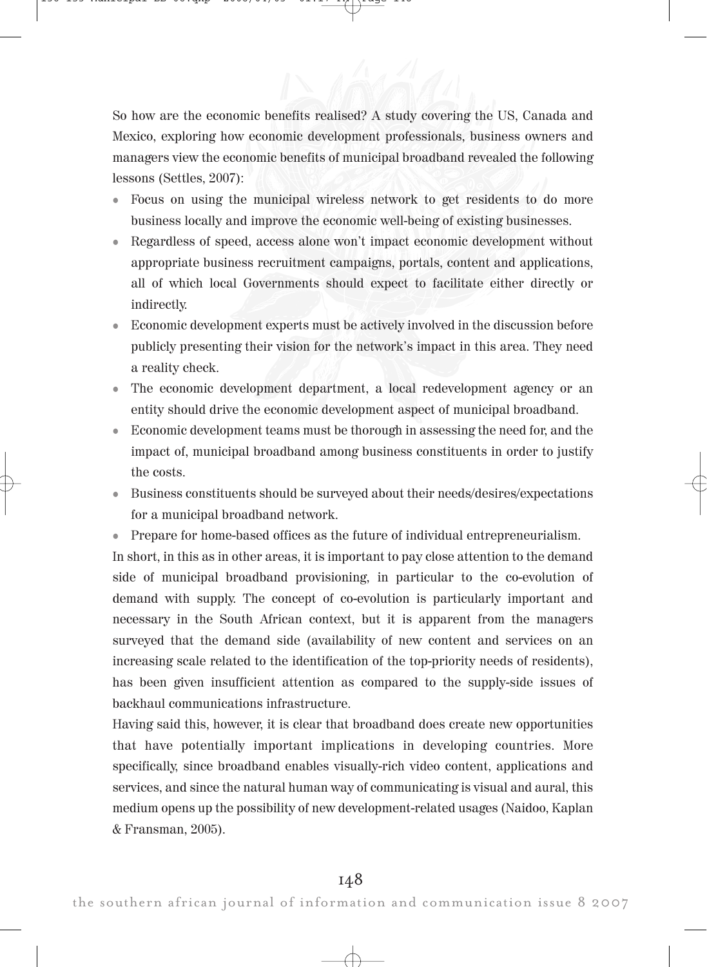So how are the economic benefits realised? A study covering the US, Canada and Mexico, exploring how economic development professionals, business owners and managers view the economic benefits of municipal broadband revealed the following lessons (Settles, 2007):

- ! Focus on using the municipal wireless network to get residents to do more business locally and improve the economic well-being of existing businesses.
- ! Regardless of speed, access alone won't impact economic development without appropriate business recruitment campaigns, portals, content and applications, all of which local Governments should expect to facilitate either directly or indirectly.
- ! Economic development experts must be actively involved in the discussion before publicly presenting their vision for the network's impact in this area. They need a reality check.
- ! The economic development department, a local redevelopment agency or an entity should drive the economic development aspect of municipal broadband.
- ! Economic development teams must be thorough in assessing the need for, and the impact of, municipal broadband among business constituents in order to justify the costs.
- ! Business constituents should be surveyed about their needs/desires/expectations for a municipal broadband network.
- ! Prepare for home-based offices as the future of individual entrepreneurialism.

In short, in this as in other areas, it is important to pay close attention to the demand side of municipal broadband provisioning, in particular to the co-evolution of demand with supply. The concept of co-evolution is particularly important and necessary in the South African context, but it is apparent from the managers surveyed that the demand side (availability of new content and services on an increasing scale related to the identification of the top-priority needs of residents), has been given insufficient attention as compared to the supply-side issues of backhaul communications infrastructure.

Having said this, however, it is clear that broadband does create new opportunities that have potentially important implications in developing countries. More specifically, since broadband enables visually-rich video content, applications and services, and since the natural human way of communicating is visual and aural, this medium opens up the possibility of new development-related usages (Naidoo, Kaplan & Fransman, 2005).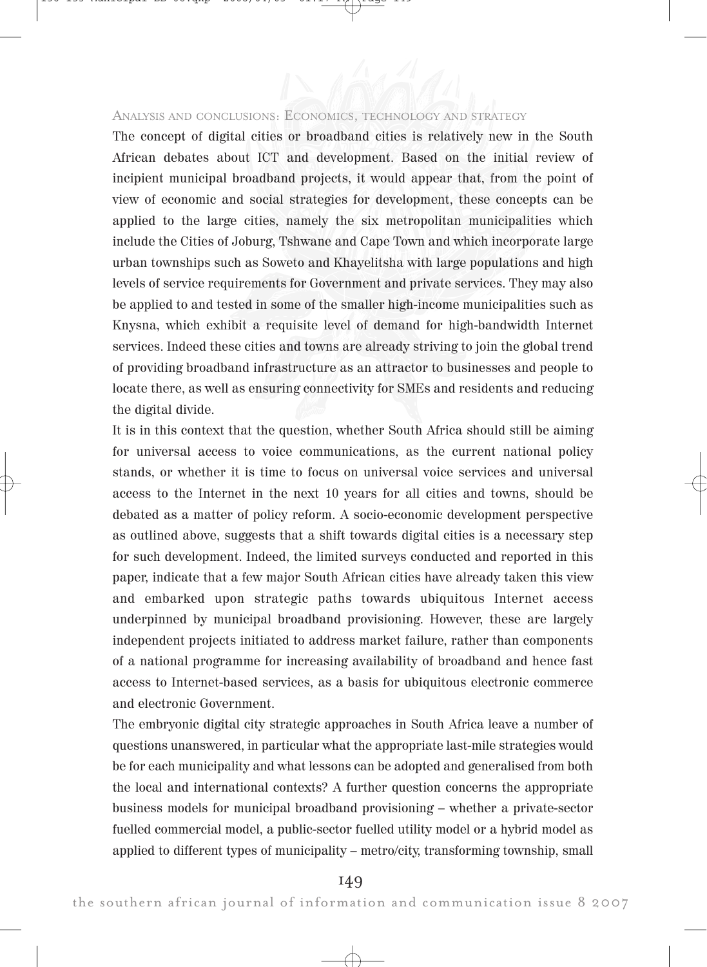## ANALYSIS AND CONCLUSIONS: ECONOMICS, TECHNOLOGY AND STRATEGY

The concept of digital cities or broadband cities is relatively new in the South African debates about ICT and development. Based on the initial review of incipient municipal broadband projects, it would appear that, from the point of view of economic and social strategies for development, these concepts can be applied to the large cities, namely the six metropolitan municipalities which include the Cities of Joburg, Tshwane and Cape Town and which incorporate large urban townships such as Soweto and Khayelitsha with large populations and high levels of service requirements for Government and private services. They may also be applied to and tested in some of the smaller high-income municipalities such as Knysna, which exhibit a requisite level of demand for high-bandwidth Internet services. Indeed these cities and towns are already striving to join the global trend of providing broadband infrastructure as an attractor to businesses and people to locate there, as well as ensuring connectivity for SMEs and residents and reducing the digital divide.

It is in this context that the question, whether South Africa should still be aiming for universal access to voice communications, as the current national policy stands, or whether it is time to focus on universal voice services and universal access to the Internet in the next 10 years for all cities and towns, should be debated as a matter of policy reform. A socio-economic development perspective as outlined above, suggests that a shift towards digital cities is a necessary step for such development. Indeed, the limited surveys conducted and reported in this paper, indicate that a few major South African cities have already taken this view and embarked upon strategic paths towards ubiquitous Internet access underpinned by municipal broadband provisioning. However, these are largely independent projects initiated to address market failure, rather than components of a national programme for increasing availability of broadband and hence fast access to Internet-based services, as a basis for ubiquitous electronic commerce and electronic Government.

The embryonic digital city strategic approaches in South Africa leave a number of questions unanswered, in particular what the appropriate last-mile strategies would be for each municipality and what lessons can be adopted and generalised from both the local and international contexts? A further question concerns the appropriate business models for municipal broadband provisioning – whether a private-sector fuelled commercial model, a public-sector fuelled utility model or a hybrid model as applied to different types of municipality – metro/city, transforming township, small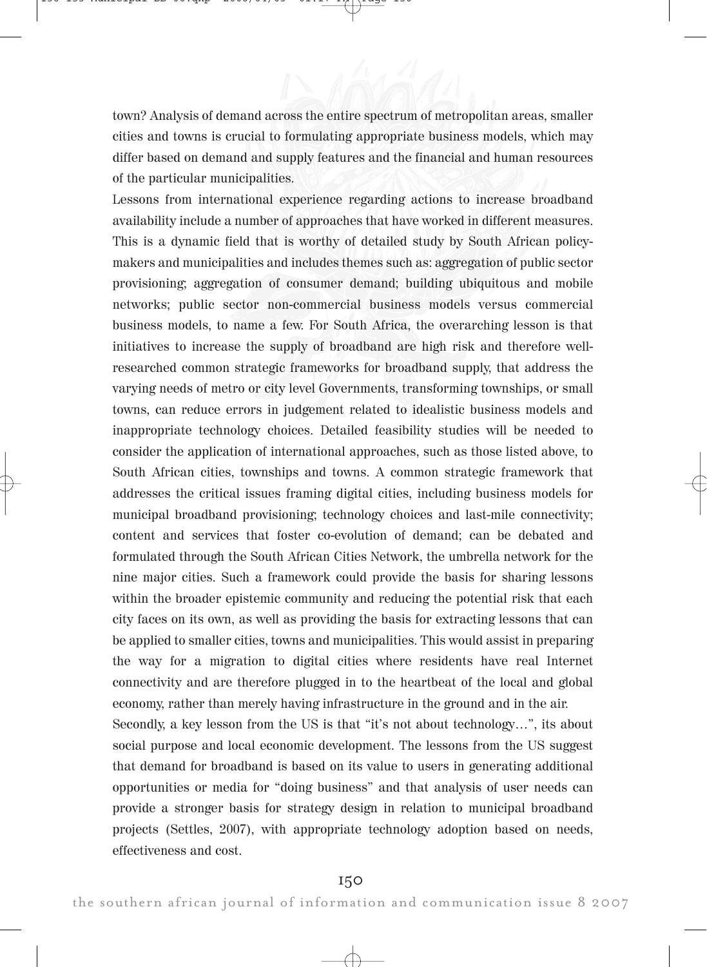town? Analysis of demand across the entire spectrum of metropolitan areas, smaller cities and towns is crucial to formulating appropriate business models, which may differ based on demand and supply features and the financial and human resources of the particular municipalities.

Lessons from international experience regarding actions to increase broadband availability include a number of approaches that have worked in different measures. This is a dynamic field that is worthy of detailed study by South African policymakers and municipalities and includes themes such as: aggregation of public sector provisioning; aggregation of consumer demand; building ubiquitous and mobile networks; public sector non-commercial business models versus commercial business models, to name a few. For South Africa, the overarching lesson is that initiatives to increase the supply of broadband are high risk and therefore wellresearched common strategic frameworks for broadband supply, that address the varying needs of metro or city level Governments, transforming townships, or small towns, can reduce errors in judgement related to idealistic business models and inappropriate technology choices. Detailed feasibility studies will be needed to consider the application of international approaches, such as those listed above, to South African cities, townships and towns. A common strategic framework that addresses the critical issues framing digital cities, including business models for municipal broadband provisioning; technology choices and last-mile connectivity; content and services that foster co-evolution of demand; can be debated and formulated through the South African Cities Network, the umbrella network for the nine major cities. Such a framework could provide the basis for sharing lessons within the broader epistemic community and reducing the potential risk that each city faces on its own, as well as providing the basis for extracting lessons that can be applied to smaller cities, towns and municipalities. This would assist in preparing the way for a migration to digital cities where residents have real Internet connectivity and are therefore plugged in to the heartbeat of the local and global economy, rather than merely having infrastructure in the ground and in the air. Secondly, a key lesson from the US is that "it's not about technology…", its about social purpose and local economic development. The lessons from the US suggest that demand for broadband is based on its value to users in generating additional opportunities or media for "doing business" and that analysis of user needs can provide a stronger basis for strategy design in relation to municipal broadband projects (Settles, 2007), with appropriate technology adoption based on needs,

effectiveness and cost.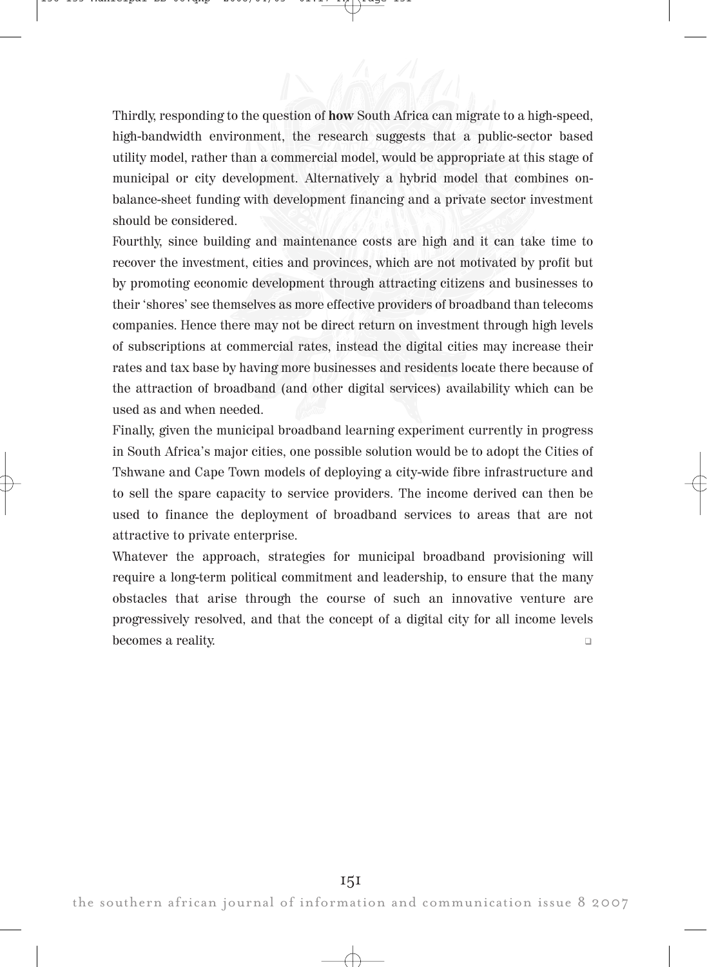Thirdly, responding to the question of how South Africa can migrate to a high-speed, high-bandwidth environment, the research suggests that a public-sector based utility model, rather than a commercial model, would be appropriate at this stage of municipal or city development. Alternatively a hybrid model that combines onbalance-sheet funding with development financing and a private sector investment should be considered.

Fourthly, since building and maintenance costs are high and it can take time to recover the investment, cities and provinces, which are not motivated by profit but by promoting economic development through attracting citizens and businesses to their 'shores' see themselves as more effective providers of broadband than telecoms companies. Hence there may not be direct return on investment through high levels of subscriptions at commercial rates, instead the digital cities may increase their rates and tax base by having more businesses and residents locate there because of the attraction of broadband (and other digital services) availability which can be used as and when needed.

Finally, given the municipal broadband learning experiment currently in progress in South Africa's major cities, one possible solution would be to adopt the Cities of Tshwane and Cape Town models of deploying a city-wide fibre infrastructure and to sell the spare capacity to service providers. The income derived can then be used to finance the deployment of broadband services to areas that are not attractive to private enterprise.

Whatever the approach, strategies for municipal broadband provisioning will require a long-term political commitment and leadership, to ensure that the many obstacles that arise through the course of such an innovative venture are progressively resolved, and that the concept of a digital city for all income levels becomes a reality. "

the southern african journal of information and communication issue 8 2007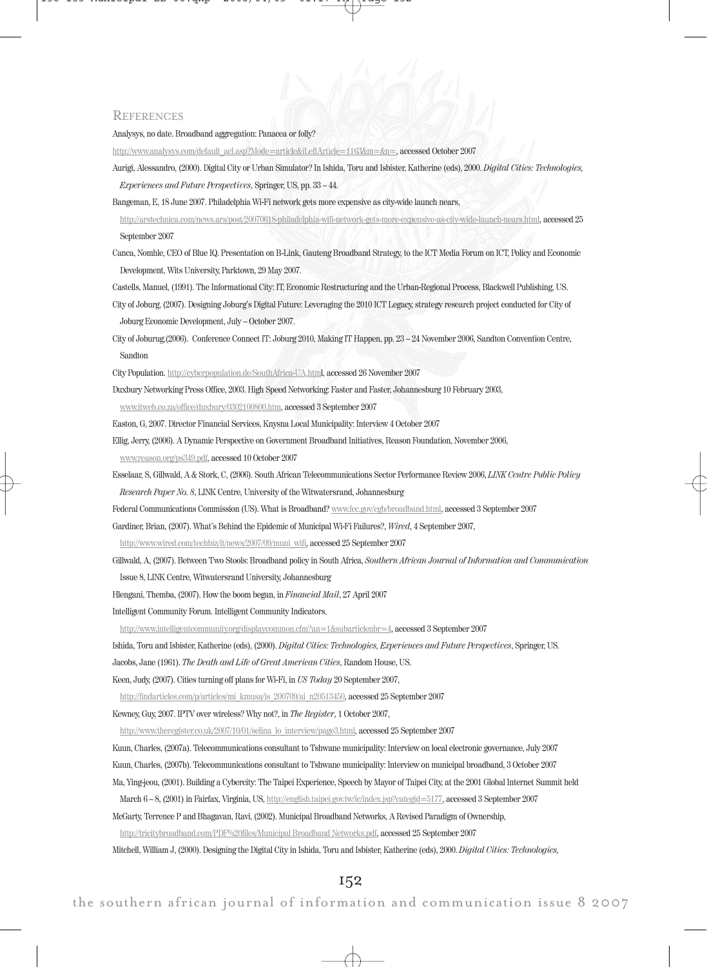#### **REFERENCES**

Analysys, no date. Broadband aggregation: Panacea or folly?

http://www.analysys.com/default\_acl.asp?Mode=article&iLeftArticle=1163&m=&n=, accessed October 2007

Aurigi, Alessandro, (2000). Digital City or Urban Simulator? In Ishida, Toru and Isbister, Katherine (eds), 2000. Digital Cities: Technologies, Experiences and Future Perspectives, Springer, US, pp. 33 – 44.

Bangeman, E, 18 June 2007. Philadelphia Wi-Fi network gets more expensive as city-wide launch nears,

http://arstechnica.com/news.ars/post/20070618-philadelphia-wifi-network-gets-more-expensive-as-city-wide-launch-nears.html, accessed 25 September 2007

Canca, Nomhle, CEO of Blue IQ. Presentation on B-Link, Gauteng Broadband Strategy, to the ICT Media Forum on ICT, Policy and Economic Development, Wits University, Parktown, 29 May 2007.

Castells, Manuel, (1991). The Informational City: IT, Economic Restructuring and the Urban-Regional Process, Blackwell Publishing, US.

- City of Joburg, (2007). Designing Joburg's Digital Future: Leveraging the 2010 ICT Legacy, strategy research project conducted for City of Joburg Economic Development, July – October 2007.
- City of Joburug,(2006). Conference Connect IT: Joburg 2010, Making IT Happen, pp. 23 24 November 2006, Sandton Convention Centre, Sandton

City Population. http://cyberpopulation.de/SouthAfrica-UA.html, accessed 26 November 2007

Duxbury Networking Press Office, 2003. High Speed Networking: Faster and Faster, Johannesburg 10 February 2003,

www.itweb.co.za/office/duxbury/0302100800.htm, accessed 3 September 2007

Easton, G, 2007. Director Financial Services, Knysna Local Municipality: Interview 4 October 2007

Ellig, Jerry, (2006). A Dynamic Perspective on Government Broadband Initiatives, Reason Foundation, November 2006,

www.reason.org/ps349.pdf, accessed 10 October 2007

Esselaar, S, Gillwald, A & Stork, C, (2006). South African Telecommunications Sector Performance Review 2006, LINK Centre Public Policy Research Paper No. 8, LINK Centre, University of the Witwatersrand, Johannesburg

Federal Communications Commission (US). What is Broadband? www.fcc.gov/cgb/broadband.html, accessed 3 September 2007

Gardiner, Brian, (2007). What's Behind the Epidemic of Municipal Wi-Fi Failures?, Wired, 4 September 2007,

http://www.wired.com/techbiz/it/news/2007/09/muni\_wifi, accessed 25 September 2007

Gillwald, A, (2007). Between Two Stools: Broadband policy in South Africa, Southern African Journal of Information and Communication

Issue 8, LINK Centre, Witwatersrand University, Johannesburg

Hlengani, Themba, (2007). How the boom began, in Financial Mail, 27 April 2007

Intelligent Community Forum. Intelligent Community Indicators.

http://www.intelligentcommunity.org/displaycommon.cfm?an=1&subarticlenbr=4, accessed 3 September 2007

Ishida, Toru and Isbister, Katherine (eds), (2000). Digital Cities: Technologies, Experiences and Future Perspectives, Springer, US.

Jacobs, Jane (1961). The Death and Life of Great American Cities, Random House, US.

Keen, Judy, (2007). Cities turning off plans for Wi-Fi, in US Today 20 September 2007,

http://findarticles.com/p/articles/mi\_kmusa/is\_200709/ai\_n20513450, accessed 25 September 2007

Kewney, Guy, 2007. IPTV over wireless? Why not?, in The Register, 1 October 2007,

http://www.theregister.co.uk/2007/10/01/selina\_lo\_interview/page3.html, accessed 25 September 2007

Kuun, Charles, (2007a). Telecommunications consultant to Tshwane municipality: Interview on local electronic governance, July 2007

Kuun, Charles, (2007b). Telecommunications consultant to Tshwane municipality: Interview on municipal broadband, 3 October 2007

Ma, Ying-jeou, (2001). Building a Cybercity: The Taipei Experience, Speech by Mayor of Taipei City, at the 2001 Global Internet Summit held

March 6 – 8, (2001) in Fairfax, Virginia, US, http://english.taipei.gov.tw/ic/index.jsp?categid=5177, accessed 3 September 2007

McGarty, Terrence P and Bhagavan, Ravi, (2002). Municipal Broadband Networks, A Revised Paradigm of Ownership,

http://tricitybroadband.com/PDF%20files/Municipal Broadband Networks.pdf, accessed 25 September 2007

Mitchell, William J, (2000). Designing the Digital City in Ishida, Toru and Isbister, Katherine (eds), 2000. Digital Cities: Technologies,